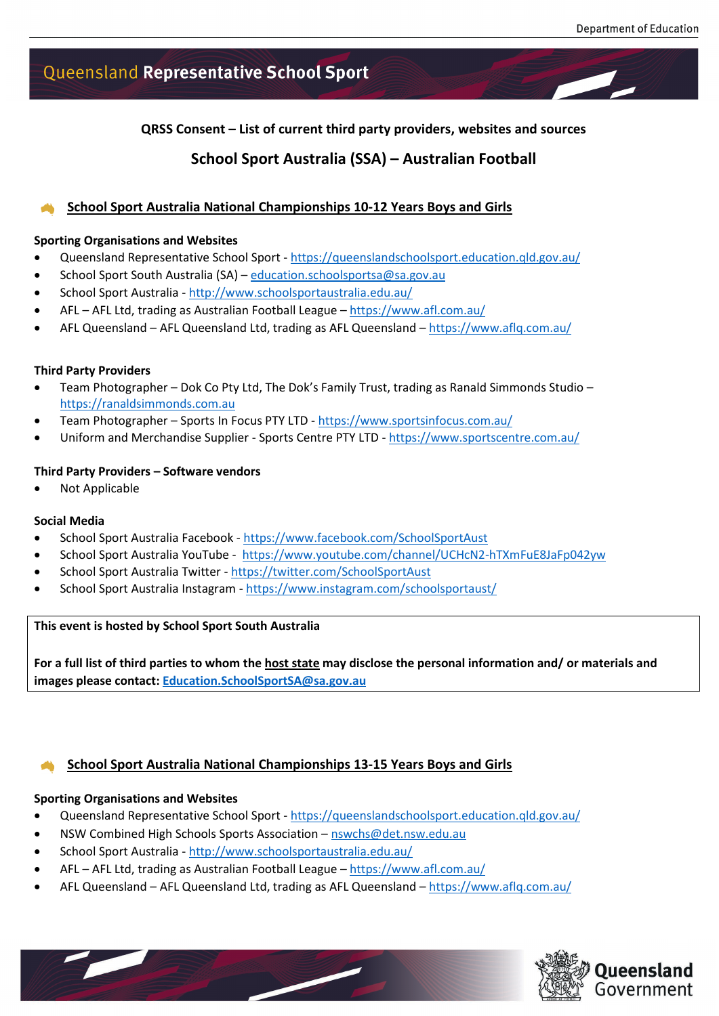# Queensland Representative School Sport

**QRSS Consent – List of current third party providers, websites and sources**

## **School Sport Australia (SSA) – Australian Football**

### **School Sport Australia National Championships 10-12 Years Boys and Girls**

#### **Sporting Organisations and Websites**

- Queensland Representative School Sport <https://queenslandschoolsport.education.qld.gov.au/>
- School Sport South Australia (SA) [education.schoolsportsa@sa.gov.au](mailto:education.schoolsportsa@sa.gov.au)
- School Sport Australia <http://www.schoolsportaustralia.edu.au/>
- AFL AFL Ltd, trading as Australian Football League <https://www.afl.com.au/>
- AFL Queensland AFL Queensland Ltd, trading as AFL Queensland <https://www.aflq.com.au/>

#### **Third Party Providers**

- Team Photographer Dok Co Pty Ltd, The Dok's Family Trust, trading as Ranald Simmonds Studio [https://ranaldsimmonds.com.au](https://ranaldsimmonds.com.au/)
- Team Photographer Sports In Focus PTY LTD <https://www.sportsinfocus.com.au/>
- Uniform and Merchandise Supplier Sports Centre PTY LTD <https://www.sportscentre.com.au/>

#### **Third Party Providers – Software vendors**

• Not Applicable

#### **Social Media**

- School Sport Australia Facebook <https://www.facebook.com/SchoolSportAust>
- School Sport Australia YouTube -<https://www.youtube.com/channel/UCHcN2-hTXmFuE8JaFp042yw>
- School Sport Australia Twitter <https://twitter.com/SchoolSportAust>
- School Sport Australia Instagram <https://www.instagram.com/schoolsportaust/>

#### **This event is hosted by School Sport South Australia**

**For a full list of third parties to whom the host state may disclose the personal information and/ or materials and images please contact: [Education.SchoolSportSA@sa.gov.au](mailto:Education.SchoolSportSA@sa.gov.au)**

### **School Sport Australia National Championships 13-15 Years Boys and Girls**

#### **Sporting Organisations and Websites**

- Queensland Representative School Sport <https://queenslandschoolsport.education.qld.gov.au/>
- NSW Combined High Schools Sports Association [nswchs@det.nsw.edu.au](mailto:nswchs@det.nsw.edu.au)
- School Sport Australia <http://www.schoolsportaustralia.edu.au/>
- AFL AFL Ltd, trading as Australian Football League <https://www.afl.com.au/>
- AFL Queensland AFL Queensland Ltd, trading as AFL Queensland <https://www.aflq.com.au/>